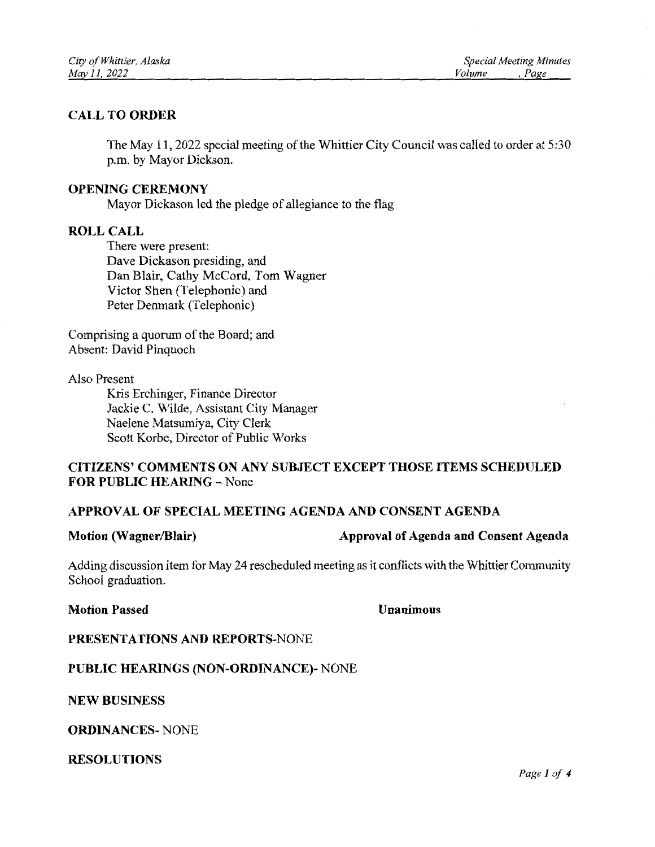## **CALL TO ORDER**

The May 11, 2022 special meeting of the Whittier City Council was called to order at 5:30 p.m. by Mayor Dickson.

### **OPENING CEREMONY**

Mayor Dickason led the pledge of allegiance to the flag

### **ROLL CALL**

There were present: Dave Dickason presiding, and Dan Blair, Cathy McCord, Tom Wagner Victor Shen (Telephonic) and Peter Denmark (Telephonic)

Comprising a quorum of the Board; and Absent: David Pinquoch

#### Also Present

Kris Erchinger, Finance Director Jackie C. Wilde, Assistant City Manager Naelene Matsumiya, City Clerk Scott Korbe, Director of Public Works

## **CITIZENS' COMMENTS ON ANY SUBJECT EXCEPT THOSE ITEMS SCHEDULED** FOR PUBLIC HEARING - None

## APPROVAL OF SPECIAL MEETING AGENDA AND CONSENT AGENDA

#### **Motion (Wagner/Blair)**

#### Approval of Agenda and Consent Agenda

Adding discussion item for May 24 rescheduled meeting as it conflicts with the Whittier Community School graduation.

**Motion Passed** 

#### Unanimous

## PRESENTATIONS AND REPORTS-NONE

## **PUBLIC HEARINGS (NON-ORDINANCE)- NONE**

**NEW BUSINESS** 

**ORDINANCES-NONE** 

**RESOLUTIONS**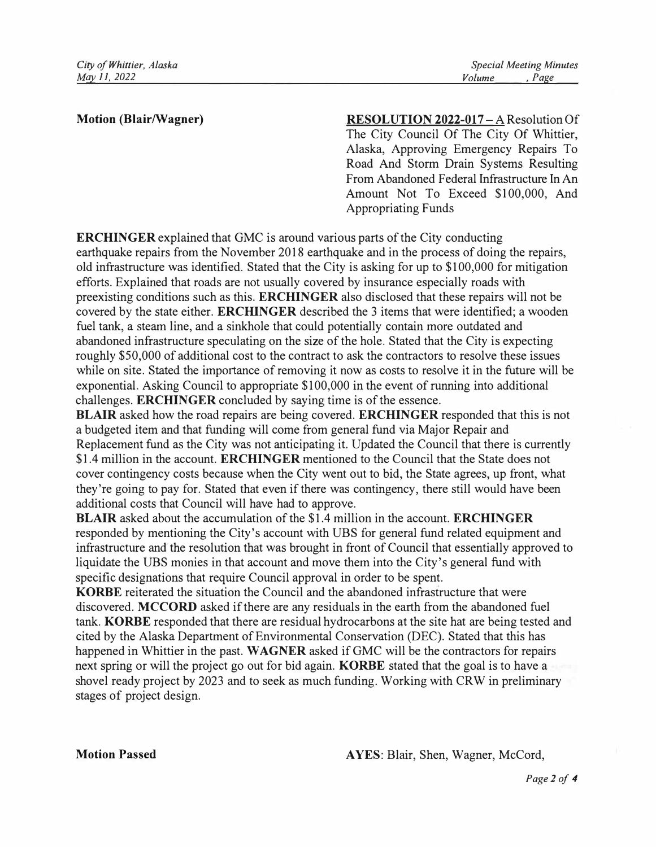### **Motion (Blair/Wagner)**

**RESOLUTION 2022-017 - A Resolution Of** The City Council Of The City Of Whittier, Alaska, Approving Emergency Repairs To Road And Storm Drain Systems Resulting From Abandoned Federal Infrastructure In An Amount Not To Exceed \$100,000, And Appropriating Funds

**ERCHINGER** explained that GMC is around various parts of the City conducting earthquake repairs from the November 2018 earthquake and in the process of doing the repairs, old infrastructure was identified. Stated that the City is asking for up to \$100,000 for mitigation efforts. Explained that roads are not usually covered by insurance especially roads with preexisting conditions such as this. **ERCHINGER** also disclosed that these repairs will not be covered by the state either. **ERCHINGER** described the 3 items that were identified; a wooden fuel tank, a steam line, and a sinkhole that could potentially contain more outdated and abandoned infrastructure speculating on the size of the hole. Stated that the City is expecting roughly \$50,000 of additional cost to the contract to ask the contractors to resolve these issues while on site. Stated the importance of removing it now as costs to resolve it in the future will be exponential. Asking Council to appropriate \$100,000 in the event of running into additional challenges. **ERCHINGER** concluded by saying time is of the essence.

**BLAIR** asked how the road repairs are being covered. **ERCHINGER** responded that this is not a budgeted item and that funding will come from general fund via Major Repair and Replacement fund as the City was not anticipating it. Updated the Council that there is currently \$1.4 million in the account. **ERCHINGER** mentioned to the Council that the State does not cover contingency costs because when the City went out to bid, the State agrees, up front, what they're going to pay for. Stated that even if there was contingency, there still would have been additional costs that Council will have had to approve.

**BLAIR** asked about the accumulation of the \$1.4 million in the account. **ERCHINGER**  responded by mentioning the City's account with UBS for general fund related equipment and infrastructure and the resolution that was brought in front of Council that essentially approved to liquidate the UBS monies in that account and move them into the City's general fund with specific designations that require Council approval in order to be spent.

**KORBE** reiterated the situation the Council and the abandoned infrastructure that were discovered. **MCCORD** asked if there are any residuals in the earth from the abandoned fuel tank. **KORBE** responded that there are residual hydrocarbons at the site hat are being tested and cited by the Alaska Department of Environmental Conservation (DEC). Stated that this has happened in Whittier in the past. **WAGNER** asked if GMC will be the contractors for repairs next spring or will the project go out for bid again. **KORBE** stated that the goal is to have a shovel ready project by 2023 and to seek as much funding. Working with CRW in preliminary stages of project design.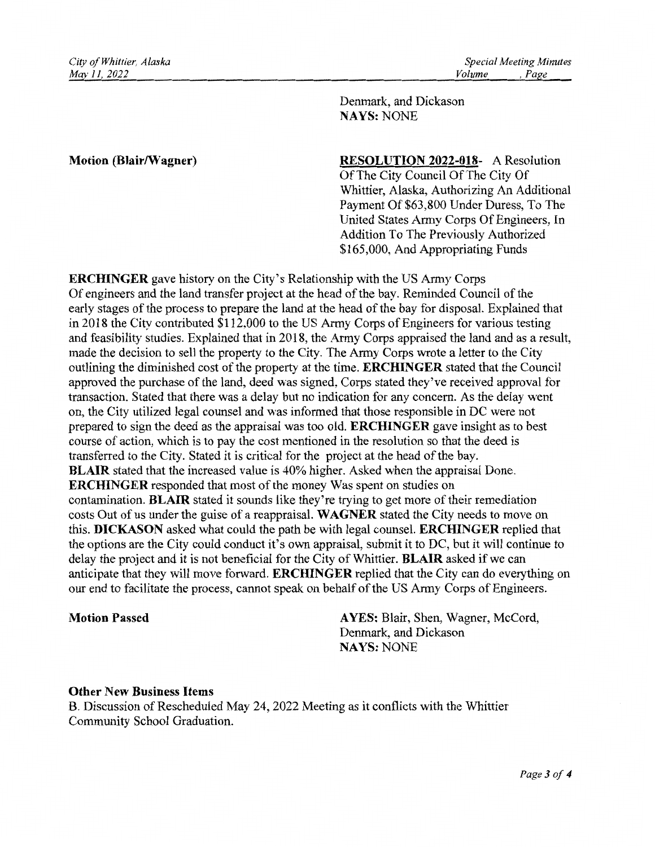Denmark, and Dickason **NAYS: NONE** 

### **Motion (Blair/Wagner)**

**RESOLUTION 2022-018-** A Resolution Of The City Council Of The City Of Whittier, Alaska, Authorizing An Additional Payment Of \$63,800 Under Duress, To The United States Army Corps Of Engineers, In Addition To The Previously Authorized \$165,000, And Appropriating Funds

**ERCHINGER** gave history on the City's Relationship with the US Army Corps Of engineers and the land transfer project at the head of the bay. Reminded Council of the early stages of the process to prepare the land at the head of the bay for disposal. Explained that in 2018 the City contributed \$112,000 to the US Army Corps of Engineers for various testing and feasibility studies. Explained that in 2018, the Army Corps appraised the land and as a result, made the decision to sell the property to the City. The Army Corps wrote a letter to the City outlining the diminished cost of the property at the time. ERCHINGER stated that the Council approved the purchase of the land, deed was signed, Corps stated they've received approval for transaction. Stated that there was a delay but no indication for any concern. As the delay went on, the City utilized legal counsel and was informed that those responsible in DC were not prepared to sign the deed as the appraisal was too old. **ERCHINGER** gave insight as to best course of action, which is to pay the cost mentioned in the resolution so that the deed is transferred to the City. Stated it is critical for the project at the head of the bay. **BLAIR** stated that the increased value is 40% higher. Asked when the appraisal Done. **ERCHINGER** responded that most of the money Was spent on studies on contamination. BLAIR stated it sounds like they're trying to get more of their remediation costs Out of us under the guise of a reappraisal. WAGNER stated the City needs to move on this. DICKASON asked what could the path be with legal counsel. ERCHINGER replied that the options are the City could conduct it's own appraisal, submit it to DC, but it will continue to delay the project and it is not beneficial for the City of Whittier. BLAIR asked if we can anticipate that they will move forward. **ERCHINGER** replied that the City can do everything on our end to facilitate the process, cannot speak on behalf of the US Army Corps of Engineers.

#### **Motion Passed**

AYES: Blair, Shen, Wagner, McCord, Denmark, and Dickason **NAYS: NONE** 

## **Other New Business Items**

B. Discussion of Rescheduled May 24, 2022 Meeting as it conflicts with the Whittier Community School Graduation.